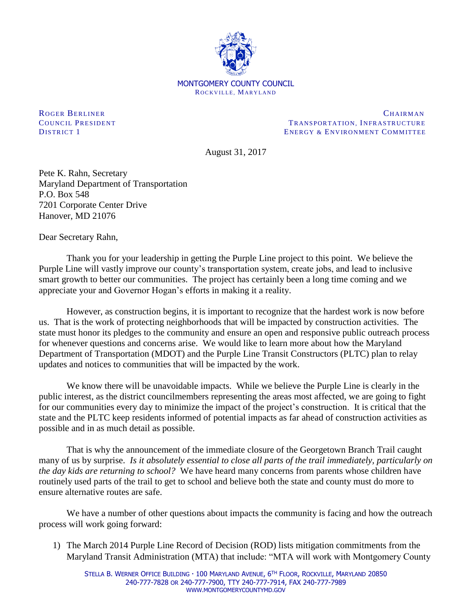

ROGER BERLINER CHAIRMAN CHAIRMAN COUNCIL PRESIDENT **TRANSPORTATION, INFRASTRUCTURE** DISTRICT 1 ENERGY & ENVIRONMENT COMMITTEE

August 31, 2017

Pete K. Rahn, Secretary Maryland Department of Transportation P.O. Box 548 7201 Corporate Center Drive Hanover, MD 21076

Dear Secretary Rahn,

Thank you for your leadership in getting the Purple Line project to this point. We believe the Purple Line will vastly improve our county's transportation system, create jobs, and lead to inclusive smart growth to better our communities. The project has certainly been a long time coming and we appreciate your and Governor Hogan's efforts in making it a reality.

However, as construction begins, it is important to recognize that the hardest work is now before us. That is the work of protecting neighborhoods that will be impacted by construction activities. The state must honor its pledges to the community and ensure an open and responsive public outreach process for whenever questions and concerns arise. We would like to learn more about how the Maryland Department of Transportation (MDOT) and the Purple Line Transit Constructors (PLTC) plan to relay updates and notices to communities that will be impacted by the work.

We know there will be unavoidable impacts. While we believe the Purple Line is clearly in the public interest, as the district councilmembers representing the areas most affected, we are going to fight for our communities every day to minimize the impact of the project's construction. It is critical that the state and the PLTC keep residents informed of potential impacts as far ahead of construction activities as possible and in as much detail as possible.

That is why the announcement of the immediate closure of the Georgetown Branch Trail caught many of us by surprise. *Is it absolutely essential to close all parts of the trail immediately, particularly on the day kids are returning to school?* We have heard many concerns from parents whose children have routinely used parts of the trail to get to school and believe both the state and county must do more to ensure alternative routes are safe.

We have a number of other questions about impacts the community is facing and how the outreach process will work going forward:

1) The March 2014 Purple Line Record of Decision (ROD) lists mitigation commitments from the Maryland Transit Administration (MTA) that include: "MTA will work with Montgomery County